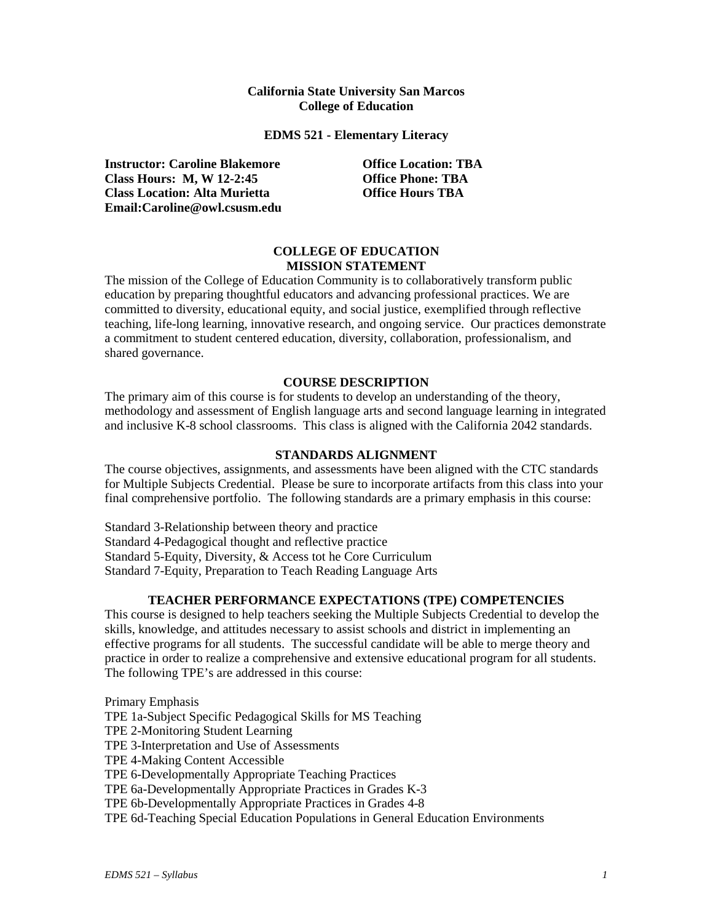### **California State University San Marcos College of Education**

**EDMS 521 - Elementary Literacy**

**Instructor: Caroline Blakemore Office Location: TBA Class Hours: M, W 12-2:45 Office Phone: TBA Class Location: Alta Murietta Office Hours TBA Email:Caroline@owl.csusm.edu**

# **COLLEGE OF EDUCATION MISSION STATEMENT**

The mission of the College of Education Community is to collaboratively transform public education by preparing thoughtful educators and advancing professional practices. We are committed to diversity, educational equity, and social justice, exemplified through reflective teaching, life-long learning, innovative research, and ongoing service. Our practices demonstrate a commitment to student centered education, diversity, collaboration, professionalism, and shared governance.

# **COURSE DESCRIPTION**

The primary aim of this course is for students to develop an understanding of the theory, methodology and assessment of English language arts and second language learning in integrated and inclusive K-8 school classrooms. This class is aligned with the California 2042 standards.

# **STANDARDS ALIGNMENT**

The course objectives, assignments, and assessments have been aligned with the CTC standards for Multiple Subjects Credential. Please be sure to incorporate artifacts from this class into your final comprehensive portfolio. The following standards are a primary emphasis in this course:

Standard 3-Relationship between theory and practice Standard 4-Pedagogical thought and reflective practice Standard 5-Equity, Diversity, & Access tot he Core Curriculum Standard 7-Equity, Preparation to Teach Reading Language Arts

# **TEACHER PERFORMANCE EXPECTATIONS (TPE) COMPETENCIES**

This course is designed to help teachers seeking the Multiple Subjects Credential to develop the skills, knowledge, and attitudes necessary to assist schools and district in implementing an effective programs for all students. The successful candidate will be able to merge theory and practice in order to realize a comprehensive and extensive educational program for all students. The following TPE's are addressed in this course:

Primary Emphasis TPE 1a-Subject Specific Pedagogical Skills for MS Teaching TPE 2-Monitoring Student Learning TPE 3-Interpretation and Use of Assessments TPE 4-Making Content Accessible TPE 6-Developmentally Appropriate Teaching Practices TPE 6a-Developmentally Appropriate Practices in Grades K-3 TPE 6b-Developmentally Appropriate Practices in Grades 4-8 TPE 6d-Teaching Special Education Populations in General Education Environments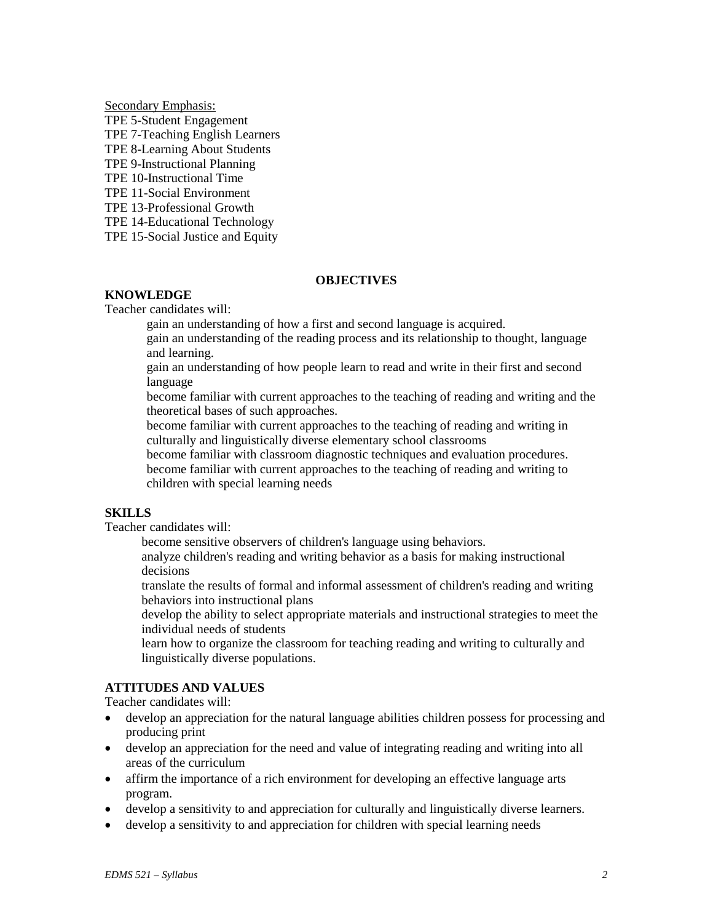Secondary Emphasis: TPE 5-Student Engagement TPE 7-Teaching English Learners TPE 8-Learning About Students TPE 9-Instructional Planning TPE 10-Instructional Time TPE 11-Social Environment TPE 13-Professional Growth TPE 14-Educational Technology

TPE 15-Social Justice and Equity

### **OBJECTIVES**

# **KNOWLEDGE**

Teacher candidates will:

gain an understanding of how a first and second language is acquired.

gain an understanding of the reading process and its relationship to thought, language and learning.

gain an understanding of how people learn to read and write in their first and second language

become familiar with current approaches to the teaching of reading and writing and the theoretical bases of such approaches.

become familiar with current approaches to the teaching of reading and writing in culturally and linguistically diverse elementary school classrooms

become familiar with classroom diagnostic techniques and evaluation procedures. become familiar with current approaches to the teaching of reading and writing to children with special learning needs

# **SKILLS**

Teacher candidates will:

become sensitive observers of children's language using behaviors.

analyze children's reading and writing behavior as a basis for making instructional decisions

translate the results of formal and informal assessment of children's reading and writing behaviors into instructional plans

develop the ability to select appropriate materials and instructional strategies to meet the individual needs of students

learn how to organize the classroom for teaching reading and writing to culturally and linguistically diverse populations.

# **ATTITUDES AND VALUES**

Teacher candidates will:

- develop an appreciation for the natural language abilities children possess for processing and producing print
- develop an appreciation for the need and value of integrating reading and writing into all areas of the curriculum
- affirm the importance of a rich environment for developing an effective language arts program.
- develop a sensitivity to and appreciation for culturally and linguistically diverse learners.
- develop a sensitivity to and appreciation for children with special learning needs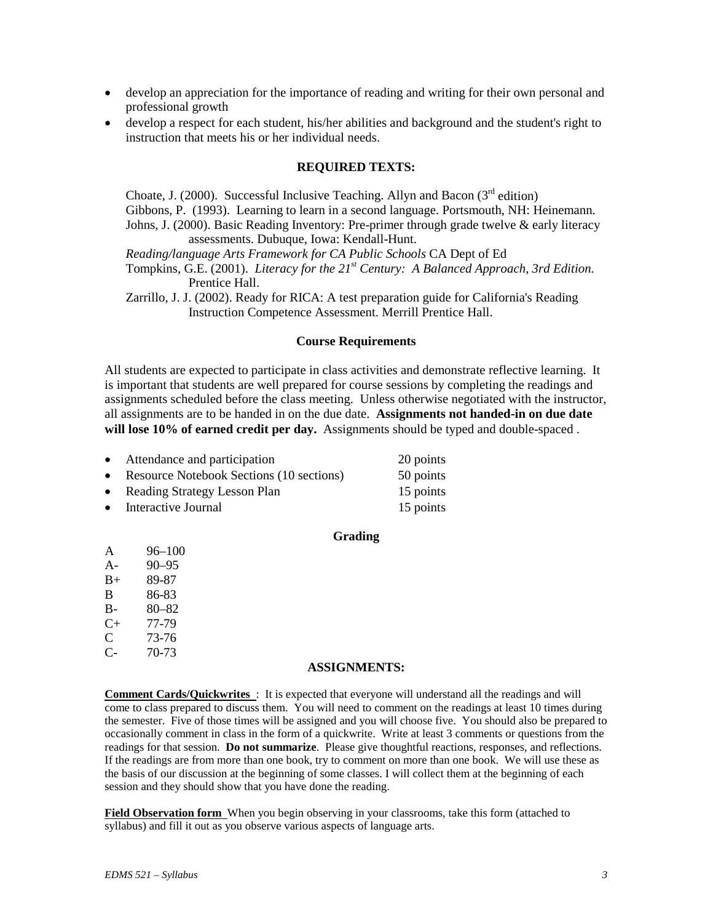- develop an appreciation for the importance of reading and writing for their own personal and professional growth
- develop a respect for each student, his/her abilities and background and the student's right to instruction that meets his or her individual needs.

### **REQUIRED TEXTS:**

Choate, J. (2000). Successful Inclusive Teaching. Allyn and Bacon ( $3<sup>rd</sup>$  edition) Gibbons, P. (1993). Learning to learn in a second language. Portsmouth, NH: Heinemann. Johns, J. (2000). Basic Reading Inventory: Pre-primer through grade twelve & early literacy assessments. Dubuque, Iowa: Kendall-Hunt. *Reading/language Arts Framework for CA Public Schools* CA Dept of Ed

Tompkins, G.E. (2001). *Literacy for the 21st Century: A Balanced Approach, 3rd Edition.* Prentice Hall.

Zarrillo, J. J. (2002). Ready for RICA: A test preparation guide for California's Reading Instruction Competence Assessment. Merrill Prentice Hall.

#### **Course Requirements**

All students are expected to participate in class activities and demonstrate reflective learning. It is important that students are well prepared for course sessions by completing the readings and assignments scheduled before the class meeting. Unless otherwise negotiated with the instructor, all assignments are to be handed in on the due date. **Assignments not handed-in on due date will lose 10% of earned credit per day.** Assignments should be typed and double-spaced .

| $\bullet$ | Attendance and participation               | 20 points |
|-----------|--------------------------------------------|-----------|
|           | • Resource Notebook Sections (10 sections) | 50 points |
| $\bullet$ | Reading Strategy Lesson Plan               | 15 points |

• Interactive Journal 15 points

### **Grading**

- A 96–100
- A- 90–95
- B+ 89-87
- B 86-83
- $B-$  80–82<br>C+ 77-79
- 77-79
- $C = 73-76$ C- 70-73

### **ASSIGNMENTS:**

**Comment Cards/Quickwrites** : It is expected that everyone will understand all the readings and will come to class prepared to discuss them. You will need to comment on the readings at least 10 times during the semester. Five of those times will be assigned and you will choose five. You should also be prepared to occasionally comment in class in the form of a quickwrite. Write at least 3 comments or questions from the readings for that session. **Do not summarize**. Please give thoughtful reactions, responses, and reflections. If the readings are from more than one book, try to comment on more than one book. We will use these as the basis of our discussion at the beginning of some classes. I will collect them at the beginning of each session and they should show that you have done the reading.

**Field Observation form** When you begin observing in your classrooms, take this form (attached to syllabus) and fill it out as you observe various aspects of language arts.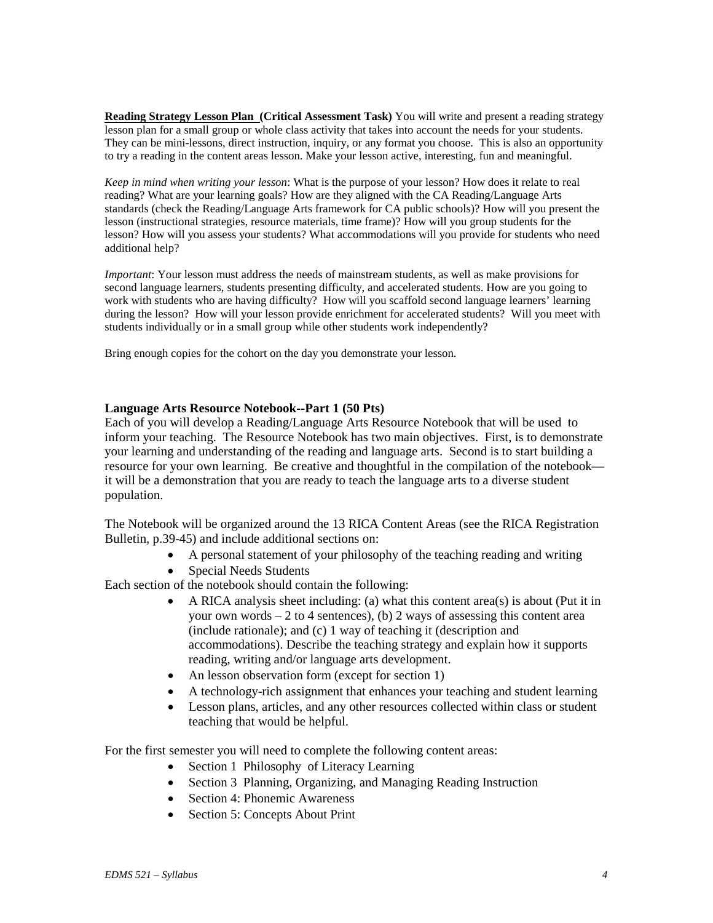**Reading Strategy Lesson Plan (Critical Assessment Task)** You will write and present a reading strategy lesson plan for a small group or whole class activity that takes into account the needs for your students. They can be mini-lessons, direct instruction, inquiry, or any format you choose. This is also an opportunity to try a reading in the content areas lesson. Make your lesson active, interesting, fun and meaningful.

*Keep in mind when writing your lesson*: What is the purpose of your lesson? How does it relate to real reading? What are your learning goals? How are they aligned with the CA Reading/Language Arts standards (check the Reading/Language Arts framework for CA public schools)? How will you present the lesson (instructional strategies, resource materials, time frame)? How will you group students for the lesson? How will you assess your students? What accommodations will you provide for students who need additional help?

*Important*: Your lesson must address the needs of mainstream students, as well as make provisions for second language learners, students presenting difficulty, and accelerated students. How are you going to work with students who are having difficulty? How will you scaffold second language learners' learning during the lesson? How will your lesson provide enrichment for accelerated students? Will you meet with students individually or in a small group while other students work independently?

Bring enough copies for the cohort on the day you demonstrate your lesson.

### **Language Arts Resource Notebook--Part 1 (50 Pts)**

Each of you will develop a Reading/Language Arts Resource Notebook that will be used to inform your teaching. The Resource Notebook has two main objectives. First, is to demonstrate your learning and understanding of the reading and language arts. Second is to start building a resource for your own learning. Be creative and thoughtful in the compilation of the notebook it will be a demonstration that you are ready to teach the language arts to a diverse student population.

The Notebook will be organized around the 13 RICA Content Areas (see the RICA Registration Bulletin, p.39-45) and include additional sections on:

- A personal statement of your philosophy of the teaching reading and writing
	- Special Needs Students

Each section of the notebook should contain the following:

- A RICA analysis sheet including: (a) what this content area(s) is about (Put it in your own words  $-2$  to 4 sentences), (b) 2 ways of assessing this content area (include rationale); and (c) 1 way of teaching it (description and accommodations). Describe the teaching strategy and explain how it supports reading, writing and/or language arts development.
- An lesson observation form (except for section 1)
- A technology-rich assignment that enhances your teaching and student learning
- Lesson plans, articles, and any other resources collected within class or student teaching that would be helpful.

For the first semester you will need to complete the following content areas:

- Section 1 Philosophy of Literacy Learning
- Section 3 Planning, Organizing, and Managing Reading Instruction
- Section 4: Phonemic Awareness
- Section 5: Concepts About Print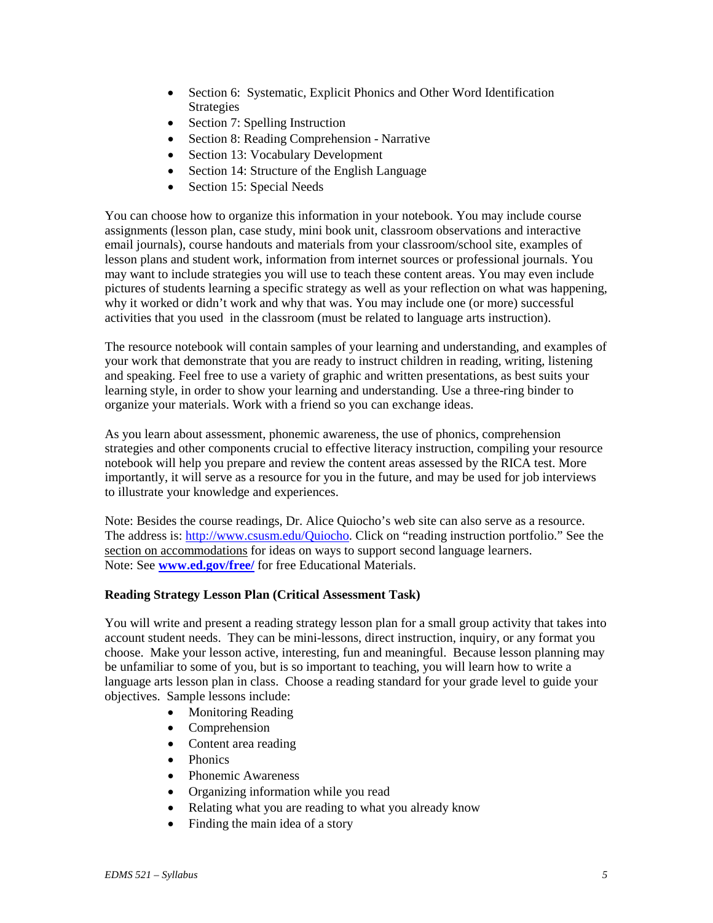- Section 6: Systematic, Explicit Phonics and Other Word Identification Strategies
- Section 7: Spelling Instruction
- Section 8: Reading Comprehension Narrative
- Section 13: Vocabulary Development
- Section 14: Structure of the English Language
- Section 15: Special Needs

You can choose how to organize this information in your notebook. You may include course assignments (lesson plan, case study, mini book unit, classroom observations and interactive email journals), course handouts and materials from your classroom/school site, examples of lesson plans and student work, information from internet sources or professional journals. You may want to include strategies you will use to teach these content areas. You may even include pictures of students learning a specific strategy as well as your reflection on what was happening, why it worked or didn't work and why that was. You may include one (or more) successful activities that you used in the classroom (must be related to language arts instruction).

The resource notebook will contain samples of your learning and understanding, and examples of your work that demonstrate that you are ready to instruct children in reading, writing, listening and speaking. Feel free to use a variety of graphic and written presentations, as best suits your learning style, in order to show your learning and understanding. Use a three-ring binder to organize your materials. Work with a friend so you can exchange ideas.

As you learn about assessment, phonemic awareness, the use of phonics, comprehension strategies and other components crucial to effective literacy instruction, compiling your resource notebook will help you prepare and review the content areas assessed by the RICA test. More importantly, it will serve as a resource for you in the future, and may be used for job interviews to illustrate your knowledge and experiences.

Note: Besides the course readings, Dr. Alice Quiocho's web site can also serve as a resource. The address is: [http://www.csusm.edu/Quiocho.](http://www.csusm.edu/Quiocho) Click on "reading instruction portfolio." See the section on accommodations for ideas on ways to support second language learners. Note: See **[www.ed.gov/free/](http://www.ed.gov/free/)** for free Educational Materials.

# **Reading Strategy Lesson Plan (Critical Assessment Task)**

You will write and present a reading strategy lesson plan for a small group activity that takes into account student needs. They can be mini-lessons, direct instruction, inquiry, or any format you choose. Make your lesson active, interesting, fun and meaningful. Because lesson planning may be unfamiliar to some of you, but is so important to teaching, you will learn how to write a language arts lesson plan in class. Choose a reading standard for your grade level to guide your objectives. Sample lessons include:

- Monitoring Reading
- Comprehension
- Content area reading
- Phonics
- Phonemic Awareness
- Organizing information while you read
- Relating what you are reading to what you already know
- Finding the main idea of a story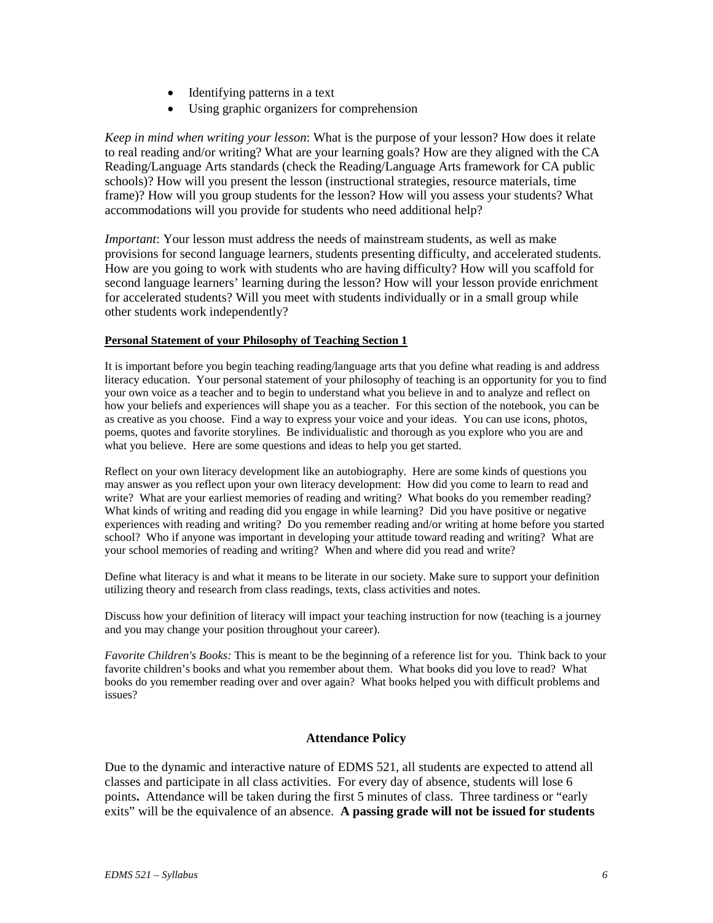- Identifying patterns in a text
- Using graphic organizers for comprehension

*Keep in mind when writing your lesson*: What is the purpose of your lesson? How does it relate to real reading and/or writing? What are your learning goals? How are they aligned with the CA Reading/Language Arts standards (check the Reading/Language Arts framework for CA public schools)? How will you present the lesson (instructional strategies, resource materials, time frame)? How will you group students for the lesson? How will you assess your students? What accommodations will you provide for students who need additional help?

*Important*: Your lesson must address the needs of mainstream students, as well as make provisions for second language learners, students presenting difficulty, and accelerated students. How are you going to work with students who are having difficulty? How will you scaffold for second language learners' learning during the lesson? How will your lesson provide enrichment for accelerated students? Will you meet with students individually or in a small group while other students work independently?

### **Personal Statement of your Philosophy of Teaching Section 1**

It is important before you begin teaching reading/language arts that you define what reading is and address literacy education. Your personal statement of your philosophy of teaching is an opportunity for you to find your own voice as a teacher and to begin to understand what you believe in and to analyze and reflect on how your beliefs and experiences will shape you as a teacher. For this section of the notebook, you can be as creative as you choose. Find a way to express your voice and your ideas. You can use icons, photos, poems, quotes and favorite storylines. Be individualistic and thorough as you explore who you are and what you believe. Here are some questions and ideas to help you get started.

Reflect on your own literacy development like an autobiography. Here are some kinds of questions you may answer as you reflect upon your own literacy development: How did you come to learn to read and write? What are your earliest memories of reading and writing? What books do you remember reading? What kinds of writing and reading did you engage in while learning? Did you have positive or negative experiences with reading and writing? Do you remember reading and/or writing at home before you started school? Who if anyone was important in developing your attitude toward reading and writing? What are your school memories of reading and writing? When and where did you read and write?

Define what literacy is and what it means to be literate in our society. Make sure to support your definition utilizing theory and research from class readings, texts, class activities and notes.

Discuss how your definition of literacy will impact your teaching instruction for now (teaching is a journey and you may change your position throughout your career).

*Favorite Children's Books:* This is meant to be the beginning of a reference list for you. Think back to your favorite children's books and what you remember about them. What books did you love to read? What books do you remember reading over and over again? What books helped you with difficult problems and issues?

### **Attendance Policy**

Due to the dynamic and interactive nature of EDMS 521, all students are expected to attend all classes and participate in all class activities. For every day of absence, students will lose 6 points**.** Attendance will be taken during the first 5 minutes of class. Three tardiness or "early exits" will be the equivalence of an absence. **A passing grade will not be issued for students**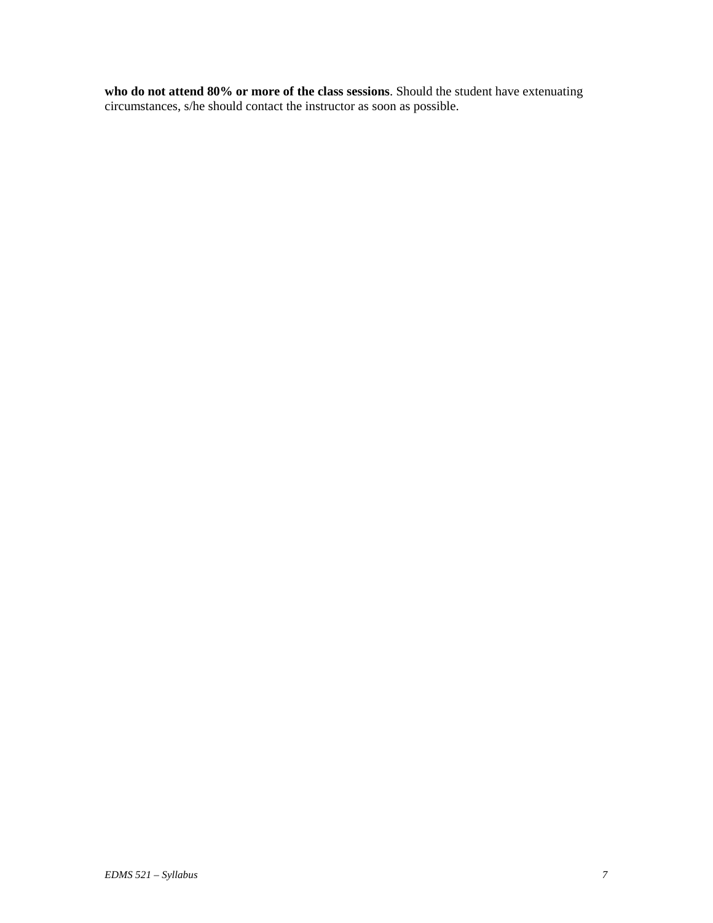**who do not attend 80% or more of the class sessions**. Should the student have extenuating circumstances, s/he should contact the instructor as soon as possible.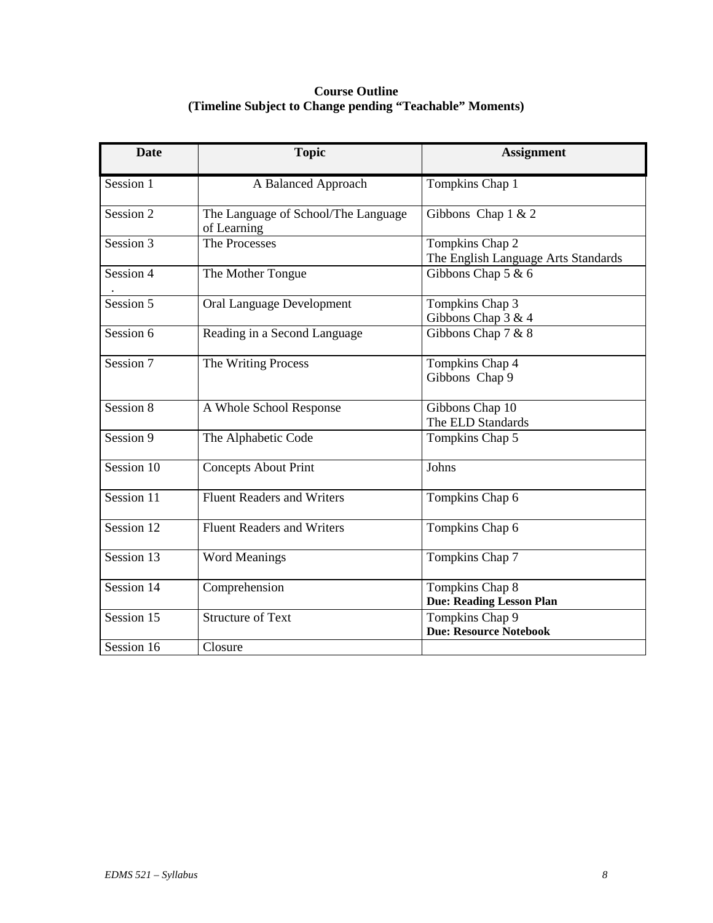# **Course Outline (Timeline Subject to Change pending "Teachable" Moments)**

| <b>Date</b> | <b>Topic</b>                                       | <b>Assignment</b>                                      |
|-------------|----------------------------------------------------|--------------------------------------------------------|
| Session 1   | A Balanced Approach                                | Tompkins Chap 1                                        |
| Session 2   | The Language of School/The Language<br>of Learning | Gibbons Chap $1 & 2$                                   |
| Session 3   | The Processes                                      | Tompkins Chap 2<br>The English Language Arts Standards |
| Session 4   | The Mother Tongue                                  | Gibbons Chap 5 & 6                                     |
| Session 5   | Oral Language Development                          | Tompkins Chap 3<br>Gibbons Chap 3 & 4                  |
| Session 6   | Reading in a Second Language                       | Gibbons Chap 7 & 8                                     |
| Session 7   | The Writing Process                                | Tompkins Chap 4<br>Gibbons Chap 9                      |
| Session 8   | A Whole School Response                            | Gibbons Chap 10<br>The ELD Standards                   |
| Session 9   | The Alphabetic Code                                | Tompkins Chap 5                                        |
| Session 10  | <b>Concepts About Print</b>                        | Johns                                                  |
| Session 11  | <b>Fluent Readers and Writers</b>                  | Tompkins Chap 6                                        |
| Session 12  | <b>Fluent Readers and Writers</b>                  | Tompkins Chap 6                                        |
| Session 13  | <b>Word Meanings</b>                               | Tompkins Chap 7                                        |
| Session 14  | Comprehension                                      | Tompkins Chap 8<br><b>Due: Reading Lesson Plan</b>     |
| Session 15  | <b>Structure of Text</b>                           | Tompkins Chap 9<br><b>Due: Resource Notebook</b>       |
| Session 16  | Closure                                            |                                                        |